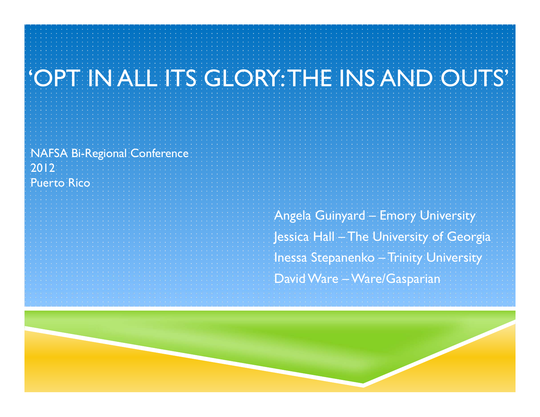# 'OPT IN ALL ITS GLORY: THE INS AND OUTS'

NAFSA Bi-Regional Conference 2012Puerto Rico

> Angela Guinyard – Emory University Jessica Hall – The University of Georgia Inessa Stepanenko – Trinity University David Ware – Ware/Gasparian

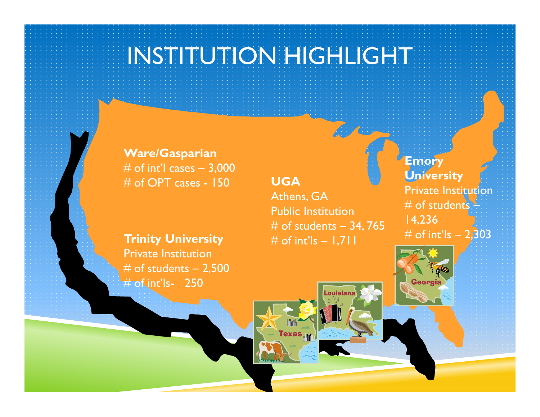## INSTITUTION HIGHLIGHT

**Ware/Gasparian** # of int'l cases  $-3,000$ # of OPT cases - 150

#### **UGA**

Texas<sub>rill</sub>

Athens, GA Public Institution # of students – 34, 765 # of int'ls – 1,711

**Emory University** Private Insti**tuti**on # of students – 14,236 # of int'ls  $- 2,303$ 

Georgia

**Trinity University** Private Institution $#$  of students  $- 2,500$ # of int'ls- 250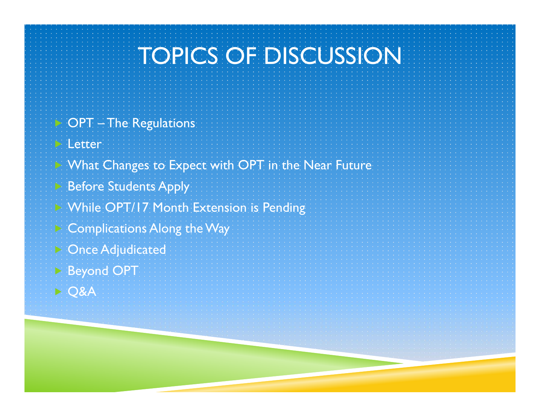# TOPICS OF DISCUSSION

 $\triangleright$  OPT – The Regulations **Letter**  What Changes to Expect with OPT in the Near Future Before Students Apply While OPT/17 Month Extension is Pending Complications Along the Way Once Adjudicated Beyond OPT D Q&A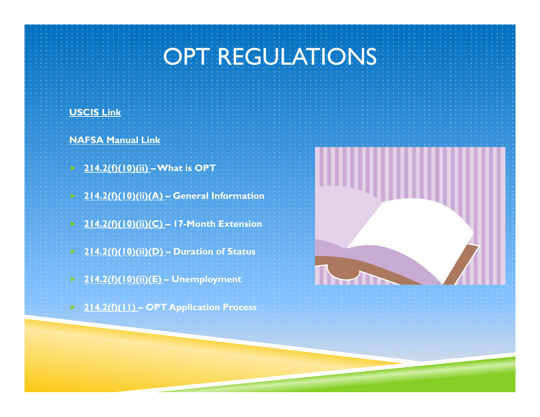### OPT REGULATIONS

#### **USCIS Link**

 $\triangleright$ 

**NAFSA Manual Link**

- **214.2(f)(10)(ii) – What is OPT**
- **214.2(f)(10)(ii)(A) – General Information**
- **214.2(f)(10)(ii)(C) – 17-Month Extension**
- **214.2(f)(10)(ii)(D) – Duration of Status**
- **214.2(f)(10)(ii)(E) – Unemployment**
- **214.2(f)(11) – OPT Application Process**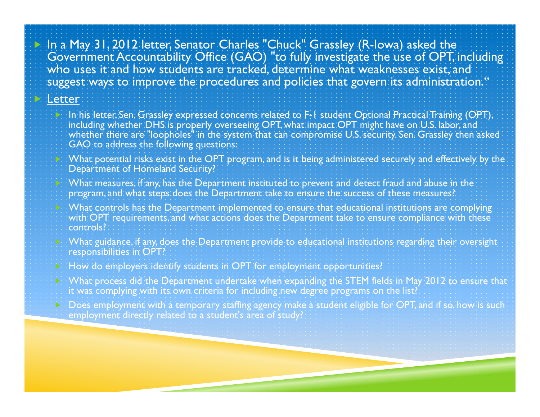In a May 31, 2012 letter, Senator Charles "Chuck" Grassley (R-Iowa) asked the Government Accountability Office (GAO) "to fully investigate the use of OPT, including who uses it and how students are tracked, determine what weaknesses exist, and suggest ways to improve the procedures and policies that govern its administration."

#### Letter

 $\blacktriangleright$ 

 $\blacktriangleright$ 

 $\blacktriangleright$ 

- In his letter, Sen. Grassley expressed concerns related to F-1 student Optional Practical Training (OPT), including whether DHS is properly overseeing OPT, what impact OPT might have on U.S. labor, and whether there are "loopholes" in the system that can compromise U.S. security. Sen. Grassley then asked GAO to address the following questions:
- $\triangleright$  What potential risks exist in the OPT program, and is it being administered securely and effectively by the Department of Homeland Security?
- What measures, if any, has the Department instituted to prevent and detect fraud and abuse in the program, and what steps does the Department take to ensure the success of these measures?
- What controls has the Department implemented to ensure that educational institutions are complying with OPT requirements, and what actions does the Department take to ensure compliance with these. controls?
- What guidance, if any, does the Department provide to educational institutions regarding their oversight responsibilities in OPT?
- How do employers identify students in OPT for employment opportunities?
- $\triangleright$  : What process did the Department undertake when expanding the STEM fields in May 2012 to ensure that it was complying with its own criteria for including new degree programs on the list?
- Does employment with a temporary staffing agency make a student eligible for OPT, and if so, how is such employment directly related to a student's area of study?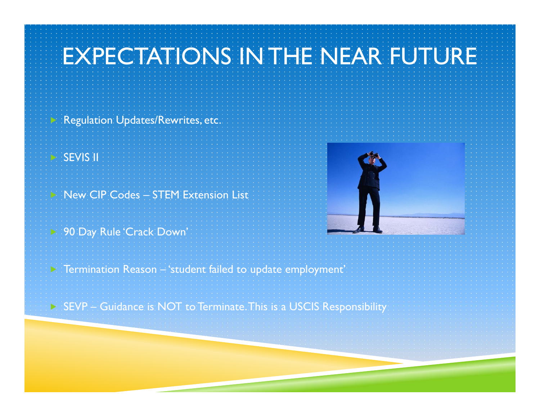## EXPECTATIONS IN THE NEAR FUTURE

Regulation Updates/Rewrites, etc.

SEVIS II

 $\triangleright$ 

New CIP Codes – STEM Extension List

90 Day Rule 'Crack Down'



 $\triangleright$  Termination Reason – 'student failed to update employment'

 $\triangleright$  SEVP – Guidance is NOT to Terminate. This is a USCIS Responsibility: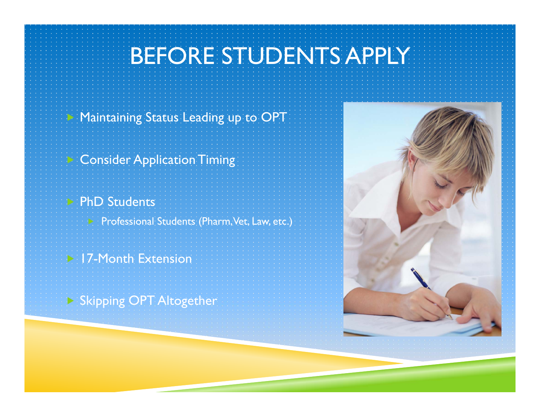# BEFORE STUDENTS APPLY

#### Maintaining Status Leading up to OPT

#### Consider Application Timing

### **PhD Students**

 $\triangleright$ 

 $\triangleright$ 

Professional Students (Pharm, Vet, Law, etc.)

#### **17-Month Extension**

Skipping OPT Altogether

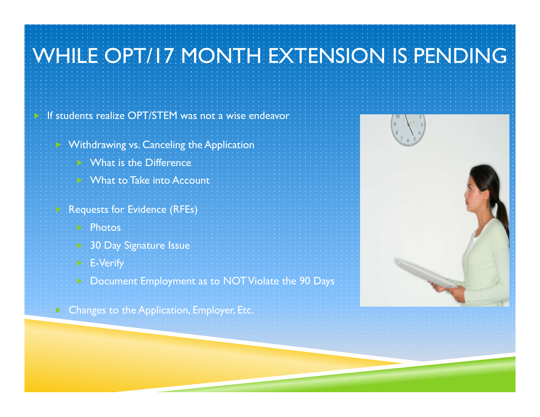

**Example 2 Setupe 2 Changes to the Application, Employer, Etc.**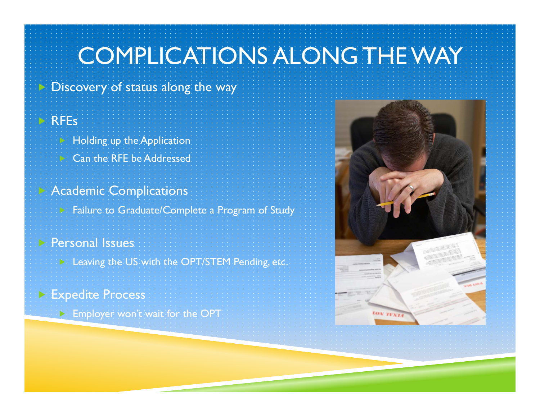## COMPLICATIONS ALONG THE WAY

#### Discovery of status along the way

#### RFEs

 $\blacktriangleright$ 

 $\triangleright$ 

- Holding up the Application Can the RFE be Addressed
- Academic Complications
	- Failure to Graduate/Complete a Program of Study

#### Personal Issues

Leaving the US with the OPT/STEM Pending, etc.

#### Expedite Process

 $\blacktriangleright$  Employer won't wait for the OPT

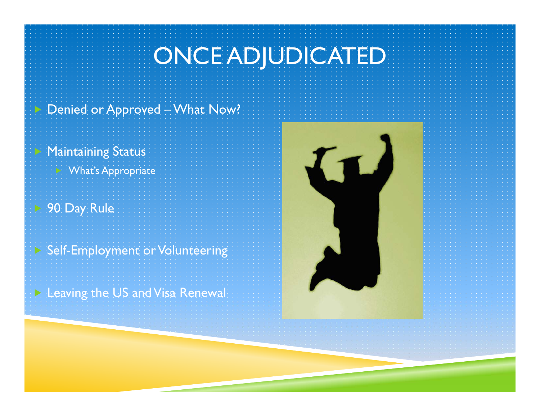# ONCE ADJUDICATED

#### $\triangleright$ Denied or Approved – What Now?

#### Maintaining Status

What's Appropriate

### 90 Day Rule

 $\triangleright$ 

#### Self-Employment or Volunteering

Leaving the US and Visa Renewal

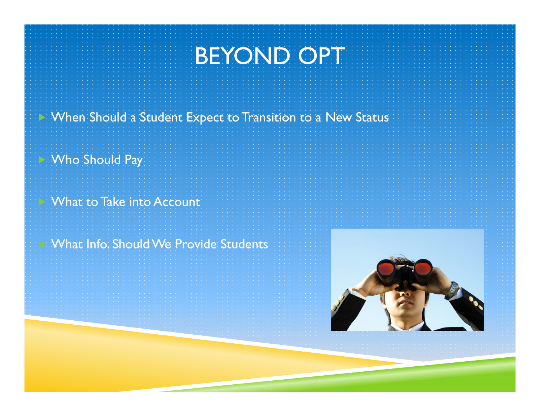## BEYOND OPT

#### When Should a Student Expect to Transition to a New Status

### Who Should Pay

 $\blacktriangleright$ 

#### What to Take into Account

### What Info. Should We Provide Students

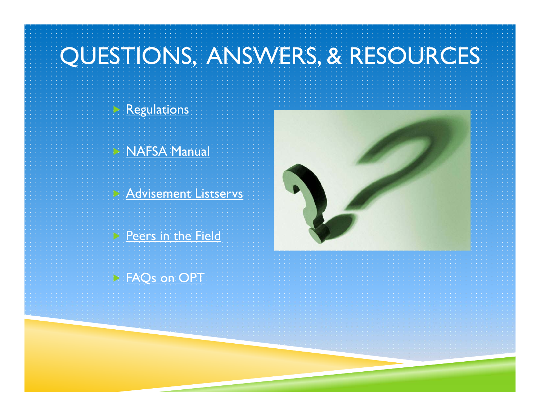